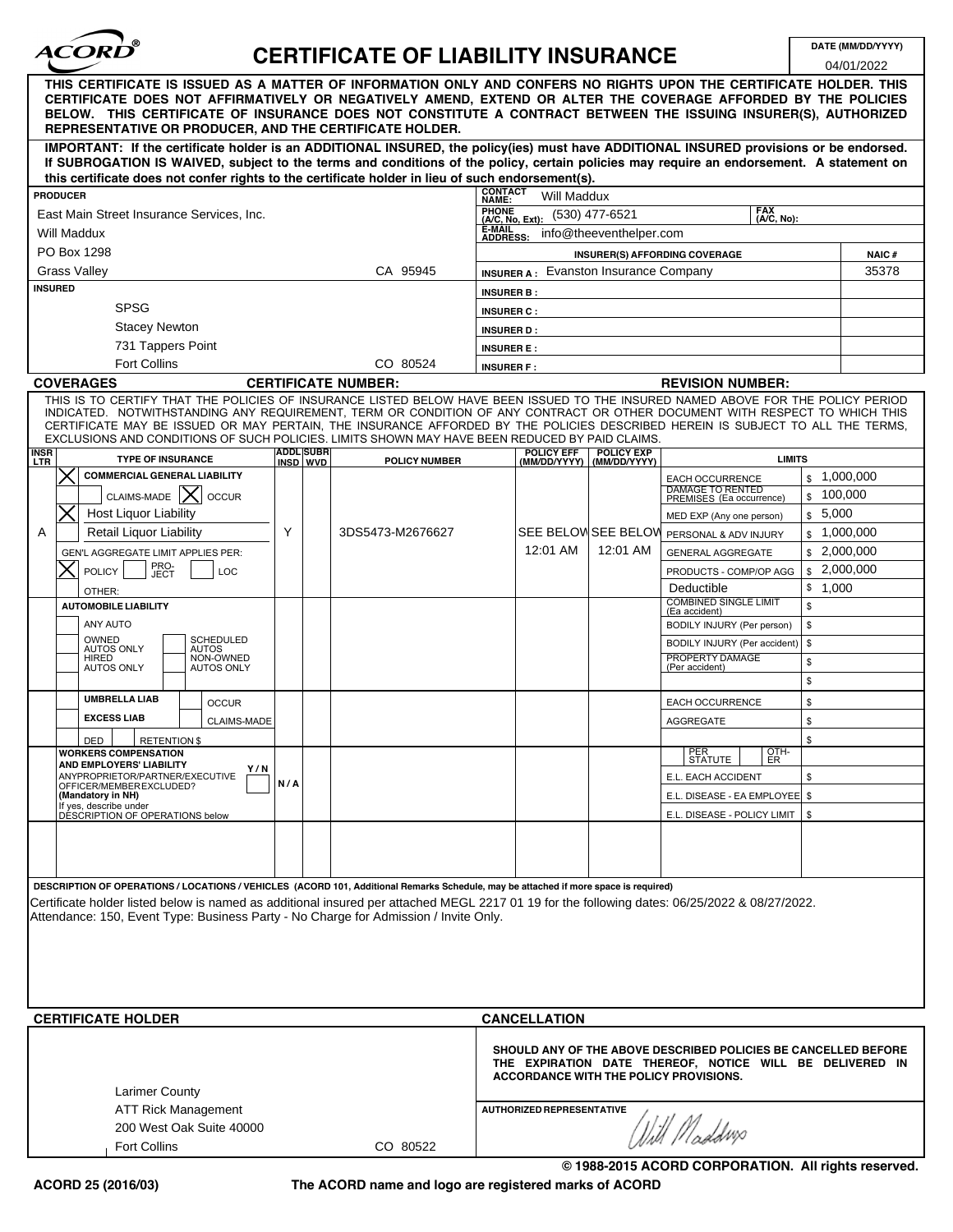

# **CERTIFICATE OF LIABILITY INSURANCE**

 $0.4/04/2022$ 

| 04/01/2022                                                                                                                                                                                                                                                                                                                                                     |                                  |  |                      |                                           |                                                                                                                                                             |                                   |                                                     |               |               |                        |  |
|----------------------------------------------------------------------------------------------------------------------------------------------------------------------------------------------------------------------------------------------------------------------------------------------------------------------------------------------------------------|----------------------------------|--|----------------------|-------------------------------------------|-------------------------------------------------------------------------------------------------------------------------------------------------------------|-----------------------------------|-----------------------------------------------------|---------------|---------------|------------------------|--|
| THIS CERTIFICATE IS ISSUED AS A MATTER OF INFORMATION ONLY AND CONFERS NO RIGHTS UPON THE CERTIFICATE HOLDER. THIS<br>CERTIFICATE DOES NOT AFFIRMATIVELY OR NEGATIVELY AMEND, EXTEND OR ALTER THE COVERAGE AFFORDED BY THE POLICIES<br>BELOW. THIS CERTIFICATE OF INSURANCE DOES NOT CONSTITUTE A CONTRACT BETWEEN THE ISSUING INSURER(S), AUTHORIZED          |                                  |  |                      |                                           |                                                                                                                                                             |                                   |                                                     |               |               |                        |  |
| REPRESENTATIVE OR PRODUCER, AND THE CERTIFICATE HOLDER.<br>IMPORTANT: If the certificate holder is an ADDITIONAL INSURED, the policy(ies) must have ADDITIONAL INSURED provisions or be endorsed.                                                                                                                                                              |                                  |  |                      |                                           |                                                                                                                                                             |                                   |                                                     |               |               |                        |  |
| If SUBROGATION IS WAIVED, subject to the terms and conditions of the policy, certain policies may require an endorsement. A statement on<br>this certificate does not confer rights to the certificate holder in lieu of such endorsement(s).                                                                                                                  |                                  |  |                      |                                           |                                                                                                                                                             |                                   |                                                     |               |               |                        |  |
| <b>PRODUCER</b>                                                                                                                                                                                                                                                                                                                                                |                                  |  |                      |                                           | <b>CONTACT</b><br><b>Will Maddux</b><br>NAME:                                                                                                               |                                   |                                                     |               |               |                        |  |
| East Main Street Insurance Services, Inc.                                                                                                                                                                                                                                                                                                                      |                                  |  |                      |                                           | <b>FAX</b><br><b>PHONE</b><br>(530) 477-6521<br>(A/C, No):<br>(A/C, No, Ext):                                                                               |                                   |                                                     |               |               |                        |  |
| Will Maddux                                                                                                                                                                                                                                                                                                                                                    |                                  |  |                      |                                           | E-MAIL<br>info@theeventhelper.com<br><b>ADDRESS:</b>                                                                                                        |                                   |                                                     |               |               |                        |  |
| PO Box 1298                                                                                                                                                                                                                                                                                                                                                    |                                  |  |                      |                                           | INSURER(S) AFFORDING COVERAGE                                                                                                                               |                                   |                                                     |               |               | <b>NAIC#</b>           |  |
| <b>Grass Valley</b><br>CA 95945                                                                                                                                                                                                                                                                                                                                |                                  |  |                      |                                           | <b>INSURER A: Evanston Insurance Company</b>                                                                                                                |                                   |                                                     |               |               | 35378                  |  |
| <b>INSURED</b>                                                                                                                                                                                                                                                                                                                                                 |                                  |  |                      |                                           | <b>INSURER B:</b>                                                                                                                                           |                                   |                                                     |               |               |                        |  |
| <b>SPSG</b>                                                                                                                                                                                                                                                                                                                                                    |                                  |  |                      |                                           | <b>INSURER C:</b>                                                                                                                                           |                                   |                                                     |               |               |                        |  |
| <b>Stacey Newton</b>                                                                                                                                                                                                                                                                                                                                           |                                  |  |                      |                                           | <b>INSURER D:</b>                                                                                                                                           |                                   |                                                     |               |               |                        |  |
| 731 Tappers Point                                                                                                                                                                                                                                                                                                                                              |                                  |  |                      |                                           | <b>INSURER E:</b>                                                                                                                                           |                                   |                                                     |               |               |                        |  |
| <b>Fort Collins</b><br>CO 80524                                                                                                                                                                                                                                                                                                                                |                                  |  |                      |                                           | <b>INSURER F:</b>                                                                                                                                           |                                   |                                                     |               |               |                        |  |
| <b>COVERAGES</b><br><b>CERTIFICATE NUMBER:</b>                                                                                                                                                                                                                                                                                                                 |                                  |  |                      |                                           | <b>REVISION NUMBER:</b><br>THIS IS TO CERTIFY THAT THE POLICIES OF INSURANCE LISTED BELOW HAVE BEEN ISSUED TO THE INSURED NAMED ABOVE FOR THE POLICY PERIOD |                                   |                                                     |               |               |                        |  |
| INDICATED. NOTWITHSTANDING ANY REQUIREMENT, TERM OR CONDITION OF ANY CONTRACT OR OTHER DOCUMENT WITH RESPECT TO WHICH THIS<br>CERTIFICATE MAY BE ISSUED OR MAY PERTAIN, THE INSURANCE AFFORDED BY THE POLICIES DESCRIBED HEREIN IS SUBJECT TO ALL THE TERMS,<br>EXCLUSIONS AND CONDITIONS OF SUCH POLICIES. LIMITS SHOWN MAY HAVE BEEN REDUCED BY PAID CLAIMS. |                                  |  |                      |                                           |                                                                                                                                                             |                                   |                                                     |               |               |                        |  |
| <b>INSR</b><br><b>TYPE OF INSURANCE</b><br>LTR                                                                                                                                                                                                                                                                                                                 | <b>ADDL SUBR</b><br>INSD WVD     |  | <b>POLICY NUMBER</b> |                                           | <b>POLICY EFF</b><br>(MM/DD/YYYY)                                                                                                                           | <b>POLICY EXP</b><br>(MM/DD/YYYY) |                                                     | <b>LIMITS</b> |               |                        |  |
| <b>COMMERCIAL GENERAL LIABILITY</b>                                                                                                                                                                                                                                                                                                                            |                                  |  |                      |                                           |                                                                                                                                                             |                                   | <b>EACH OCCURRENCE</b>                              |               |               | \$1,000,000            |  |
| CLAIMS-MADE $\mathsf{X}$<br><b>OCCUR</b>                                                                                                                                                                                                                                                                                                                       |                                  |  |                      |                                           |                                                                                                                                                             |                                   | <b>DAMAGE TO RENTED</b><br>PREMISES (Ea occurrence) |               | \$            | 100,000                |  |
| <b>Host Liquor Liability</b>                                                                                                                                                                                                                                                                                                                                   |                                  |  |                      |                                           |                                                                                                                                                             |                                   | MED EXP (Any one person)                            |               | \$5,000       |                        |  |
| Retail Liquor Liability<br>Α                                                                                                                                                                                                                                                                                                                                   | Y                                |  | 3DS5473-M2676627     | SEE BELOV SEE BELOV PERSONAL & ADV INJURY |                                                                                                                                                             |                                   | \$1,000,000                                         |               |               |                        |  |
| <b>GEN'L AGGREGATE LIMIT APPLIES PER:</b>                                                                                                                                                                                                                                                                                                                      |                                  |  |                      |                                           | 12:01 AM                                                                                                                                                    | 12:01 AM                          | <b>GENERAL AGGREGATE</b>                            |               |               | $\frac{1}{2}$ ,000,000 |  |
| PRO-<br>JECT<br><b>POLICY</b><br>LOC                                                                                                                                                                                                                                                                                                                           |                                  |  |                      |                                           |                                                                                                                                                             |                                   | PRODUCTS - COMP/OP AGG                              |               |               | \$2,000,000            |  |
| OTHER:<br><b>AUTOMOBILE LIABILITY</b>                                                                                                                                                                                                                                                                                                                          |                                  |  |                      |                                           |                                                                                                                                                             |                                   | Deductible<br><b>COMBINED SINGLE LIMIT</b>          |               | \$1,000<br>\$ |                        |  |
| ANY AUTO                                                                                                                                                                                                                                                                                                                                                       |                                  |  |                      |                                           |                                                                                                                                                             |                                   | (Ea accident)<br>BODILY INJURY (Per person)         |               | \$            |                        |  |
| OWNED<br><b>SCHEDULED</b>                                                                                                                                                                                                                                                                                                                                      |                                  |  |                      |                                           |                                                                                                                                                             |                                   | BODILY INJURY (Per accident)                        | \$            |               |                        |  |
| <b>AUTOS ONLY</b><br>AUTOS<br>NON-OWNED<br><b>HIRED</b>                                                                                                                                                                                                                                                                                                        |                                  |  |                      |                                           |                                                                                                                                                             |                                   | PROPERTY DAMAGE                                     |               | \$            |                        |  |
| <b>AUTOS ONLY</b><br><b>AUTOS ONLY</b>                                                                                                                                                                                                                                                                                                                         |                                  |  |                      |                                           |                                                                                                                                                             |                                   | (Per accident)                                      |               | \$            |                        |  |
| <b>UMBRELLA LIAB</b><br><b>OCCUR</b>                                                                                                                                                                                                                                                                                                                           |                                  |  |                      |                                           |                                                                                                                                                             |                                   | <b>EACH OCCURRENCE</b>                              |               | \$            |                        |  |
| <b>EXCESS LIAB</b><br><b>CLAIMS-MADE</b>                                                                                                                                                                                                                                                                                                                       |                                  |  |                      |                                           |                                                                                                                                                             |                                   | <b>AGGREGATE</b>                                    |               | \$            |                        |  |
| <b>DED</b><br><b>RETENTION \$</b>                                                                                                                                                                                                                                                                                                                              |                                  |  |                      |                                           |                                                                                                                                                             |                                   |                                                     |               | \$            |                        |  |
| <b>WORKERS COMPENSATION</b>                                                                                                                                                                                                                                                                                                                                    |                                  |  |                      |                                           |                                                                                                                                                             |                                   | PER<br>STATUTE                                      | OTH-<br>ER    |               |                        |  |
| AND EMPLOYERS' LIABILITY<br>Y/N<br>ANYPROPRIETOR/PARTNER/EXECUTIVE                                                                                                                                                                                                                                                                                             | N/A                              |  |                      |                                           |                                                                                                                                                             |                                   | E.L. EACH ACCIDENT                                  |               | \$            |                        |  |
| OFFICER/MEMBEREXCLUDED?<br>(Mandatory in NH)                                                                                                                                                                                                                                                                                                                   |                                  |  |                      |                                           |                                                                                                                                                             |                                   | E.L. DISEASE - EA EMPLOYEE   \$                     |               |               |                        |  |
| If yes, describe under<br>DESCRIPTION OF OPERATIONS below                                                                                                                                                                                                                                                                                                      |                                  |  |                      |                                           |                                                                                                                                                             |                                   | E.L. DISEASE - POLICY LIMIT   \$                    |               |               |                        |  |
|                                                                                                                                                                                                                                                                                                                                                                |                                  |  |                      |                                           |                                                                                                                                                             |                                   |                                                     |               |               |                        |  |
|                                                                                                                                                                                                                                                                                                                                                                |                                  |  |                      |                                           |                                                                                                                                                             |                                   |                                                     |               |               |                        |  |
|                                                                                                                                                                                                                                                                                                                                                                |                                  |  |                      |                                           |                                                                                                                                                             |                                   |                                                     |               |               |                        |  |
| DESCRIPTION OF OPERATIONS / LOCATIONS / VEHICLES (ACORD 101, Additional Remarks Schedule, may be attached if more space is required)<br>Certificate holder listed below is named as additional insured per attached MEGL 2217 01 19 for the following dates: 06/25/2022 & 08/27/2022.                                                                          |                                  |  |                      |                                           |                                                                                                                                                             |                                   |                                                     |               |               |                        |  |
| Attendance: 150, Event Type: Business Party - No Charge for Admission / Invite Only.                                                                                                                                                                                                                                                                           |                                  |  |                      |                                           |                                                                                                                                                             |                                   |                                                     |               |               |                        |  |
|                                                                                                                                                                                                                                                                                                                                                                |                                  |  |                      |                                           |                                                                                                                                                             |                                   |                                                     |               |               |                        |  |
|                                                                                                                                                                                                                                                                                                                                                                |                                  |  |                      |                                           |                                                                                                                                                             |                                   |                                                     |               |               |                        |  |
|                                                                                                                                                                                                                                                                                                                                                                |                                  |  |                      |                                           |                                                                                                                                                             |                                   |                                                     |               |               |                        |  |
|                                                                                                                                                                                                                                                                                                                                                                |                                  |  |                      |                                           |                                                                                                                                                             |                                   |                                                     |               |               |                        |  |
|                                                                                                                                                                                                                                                                                                                                                                |                                  |  |                      |                                           |                                                                                                                                                             |                                   |                                                     |               |               |                        |  |
| <b>CERTIFICATE HOLDER</b><br><b>CANCELLATION</b>                                                                                                                                                                                                                                                                                                               |                                  |  |                      |                                           |                                                                                                                                                             |                                   |                                                     |               |               |                        |  |
| SHOULD ANY OF THE ABOVE DESCRIBED POLICIES BE CANCELLED BEFORE<br>THE EXPIRATION DATE THEREOF, NOTICE WILL BE DELIVERED IN<br>ACCORDANCE WITH THE POLICY PROVISIONS.<br><b>Larimer County</b>                                                                                                                                                                  |                                  |  |                      |                                           |                                                                                                                                                             |                                   |                                                     |               |               |                        |  |
| ATT Rick Management                                                                                                                                                                                                                                                                                                                                            | <b>AUTHORIZED REPRESENTATIVE</b> |  |                      |                                           |                                                                                                                                                             |                                   |                                                     |               |               |                        |  |
| 200 West Oak Suite 40000                                                                                                                                                                                                                                                                                                                                       |                                  |  |                      |                                           |                                                                                                                                                             |                                   | With Maddws                                         |               |               |                        |  |
| <b>Fort Collins</b><br>CO 80522                                                                                                                                                                                                                                                                                                                                |                                  |  |                      |                                           |                                                                                                                                                             |                                   |                                                     |               |               |                        |  |

**The ACORD name and logo are registered marks of ACORD**

**© 1988-2015 ACORD CORPORATION. All rights reserved.**